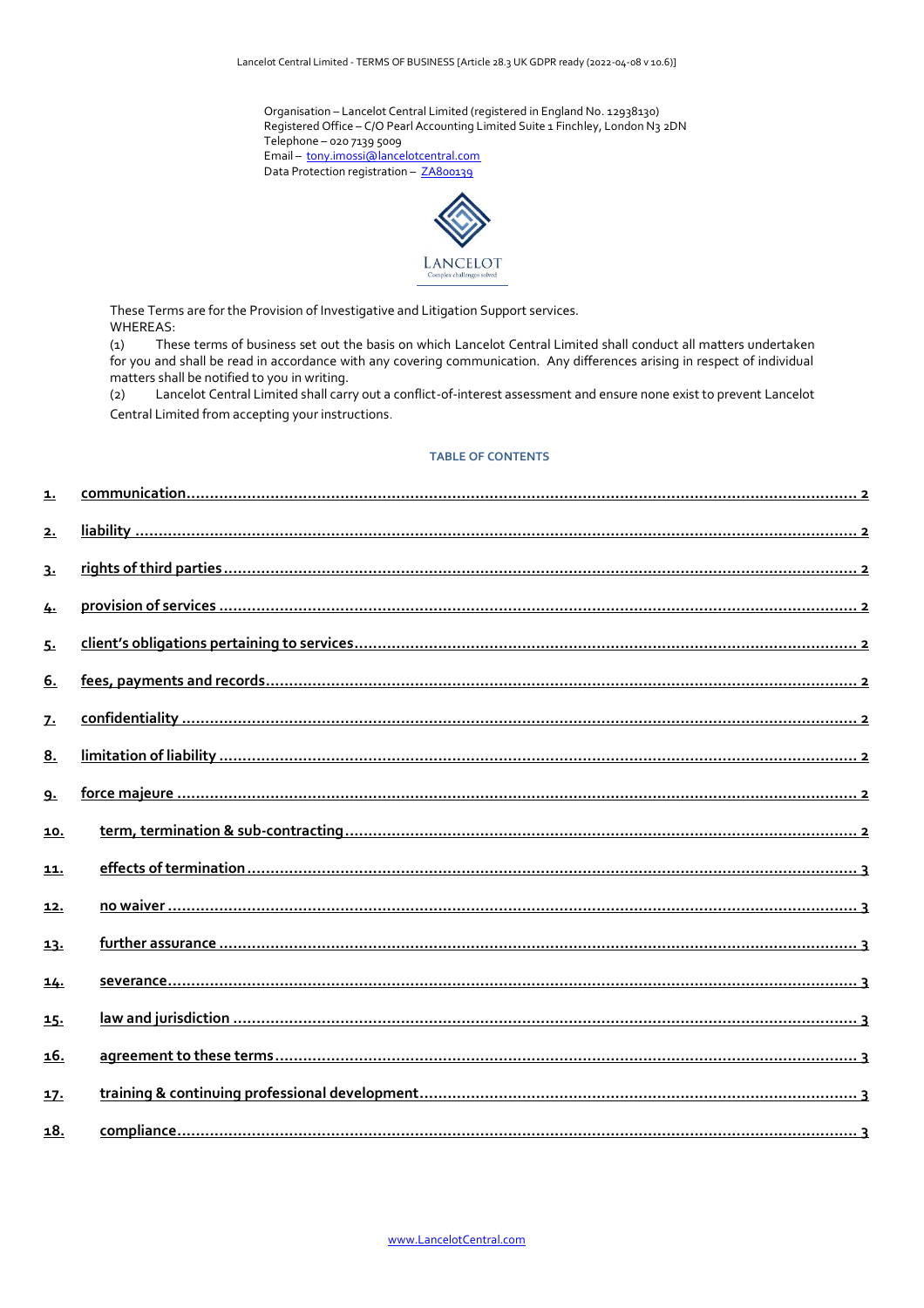Organisation - Lancelot Central Limited (registered in England No. 12938130) Registered Office - C/O Pearl Accounting Limited Suite 1 Finchley, London N3 2DN Telephone - 020 7139 5009 Email - [tony.imossi@lancelotcentral.com](mailto:%20tony.imossi@lancelotcentral.com) Data Protection registration - [ZA800139](https://ico.org.uk/ESDWebPages/Entry/ZA800139)



These Terms are for the Provision of Investigative and Litigation Support services. WHEREAS:

(1) These terms of business set out the basis on which Lancelot Central Limited shall conduct all matters undertaken for you and shall be read in accordance with any covering communication. Any differences arising in respect of individual matters shall be notified to you in writing.

(2) Lancelot Central Limited shall carry out a conflict-of-interest assessment and ensure none exist to prevent Lancelot Central Limited from accepting your instructions.

# **TABLE OF CONTENTS**

| 1.           |  |
|--------------|--|
| 2.           |  |
| 3.           |  |
| 4.           |  |
| 5.           |  |
| 6.           |  |
| $\mathbf{z}$ |  |
| 8.           |  |
| <u>g.</u>    |  |
| 10.          |  |
| 11.          |  |
| <u>12.</u>   |  |
| 13.          |  |
| 14.          |  |
| 15.          |  |
| <u>16.</u>   |  |
| <u>17.</u>   |  |
| <u>18.</u>   |  |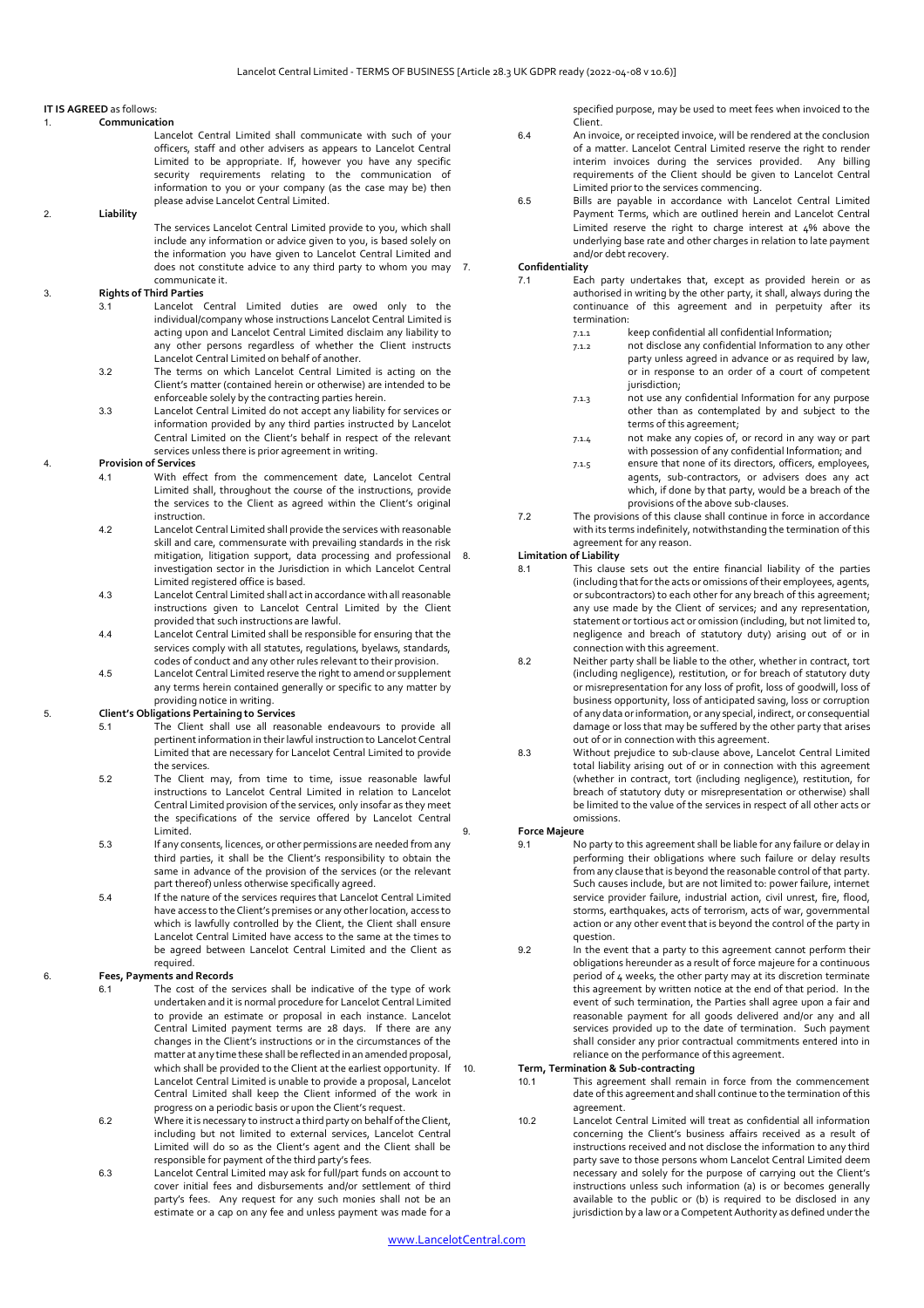## **IT IS AGREED** as follows:

## <span id="page-1-0"></span>1. **Communication**

Lancelot Central Limited shall communicate with such of your officers, staff and other advisers as appears to Lancelot Central Limited to be appropriate. If, however you have any specific security requirements relating to the communication of information to you or your company (as the case may be) then please advise Lancelot Central Limited.

# <span id="page-1-1"></span>2. **Liability**

The services Lancelot Central Limited provide to you, which shall include any information or advice given to you, is based solely on the information you have given to Lancelot Central Limited and does not constitute advice to any third party to whom you may 7. communicate it.

# <span id="page-1-2"></span>3. **Rights of Third Parties**

- 3.1 Lancelot Central Limited duties are owed only to the individual/company whose instructions Lancelot Central Limited is acting upon and Lancelot Central Limited disclaim any liability to any other persons regardless of whether the Client instructs Lancelot Central Limited on behalf of another.
- 3.2 The terms on which Lancelot Central Limited is acting on the Client's matter (contained herein or otherwise) are intended to be enforceable solely by the contracting parties herein.
- 3.3 Lancelot Central Limited do not accept any liability for services or information provided by any third parties instructed by Lancelot Central Limited on the Client's behalf in respect of the relevant services unless there is prior agreement in writing.

# <span id="page-1-3"></span>4. **Provision of Services**

- 4.1 With effect from the commencement date, Lancelot Central Limited shall, throughout the course of the instructions, provide the services to the Client as agreed within the Client's original instruction.
- 4.2 Lancelot Central Limited shall provide the services with reasonable skill and care, commensurate with prevailing standards in the risk mitigation, litigation support, data processing and professional investigation sector in the Jurisdiction in which Lancelot Central Limited registered office is based.
- 4.3 Lancelot Central Limited shall act in accordance with all reasonable instructions given to Lancelot Central Limited by the Client provided that such instructions are lawful.
- 4.4 Lancelot Central Limited shall be responsible for ensuring that the services comply with all statutes, regulations, byelaws, standards, codes of conduct and any other rules relevant to their provision.
- 4.5 Lancelot Central Limited reserve the right to amend or supplement any terms herein contained generally or specific to any matter by providing notice in writing.

## <span id="page-1-4"></span>5. **Client's Obligations Pertaining to Services**

- 5.1 The Client shall use all reasonable endeavours to provide all pertinent information in their lawful instruction to Lancelot Central Limited that are necessary for Lancelot Central Limited to provide the services.
- 5.2 The Client may, from time to time, issue reasonable lawful instructions to Lancelot Central Limited in relation to Lancelot Central Limited provision of the services, only insofar as they meet the specifications of the service offered by Lancelot Central Limited.
- 5.3 If any consents, licences, or other permissions are needed from any third parties, it shall be the Client's responsibility to obtain the same in advance of the provision of the services (or the relevant part thereof) unless otherwise specifically agreed.
- 5.4 If the nature of the services requires that Lancelot Central Limited have access to the Client's premises or any other location, access to which is lawfully controlled by the Client, the Client shall ensure Lancelot Central Limited have access to the same at the times to be agreed between Lancelot Central Limited and the Client as required.

# <span id="page-1-5"></span>6. **Fees, Payments and Records**

- 6.1 The cost of the services shall be indicative of the type of work undertaken and it is normal procedure for Lancelot Central Limited to provide an estimate or proposal in each instance. Lancelot Central Limited payment terms are 28 days. If there are any changes in the Client's instructions or in the circumstances of the matter at any time these shall be reflected in an amended proposal, which shall be provided to the Client at the earliest opportunity. If Lancelot Central Limited is unable to provide a proposal, Lancelot Central Limited shall keep the Client informed of the work in progress on a periodic basis or upon the Client's request.
- 6.2 Where it is necessary to instruct a third party on behalf of the Client, including but not limited to external services, Lancelot Central Limited will do so as the Client's agent and the Client shall be responsible for payment of the third party's fees.
- 6.3 Lancelot Central Limited may ask for full/part funds on account to cover initial fees and disbursements and/or settlement of third party's fees. Any request for any such monies shall not be an estimate or a cap on any fee and unless payment was made for a

specified purpose, may be used to meet fees when invoiced to the Client.

- 6.4 An invoice, or receipted invoice, will be rendered at the conclusion of a matter. Lancelot Central Limited reserve the right to render interim invoices during the services provided. Any billing requirements of the Client should be given to Lancelot Central Limited prior to the services commencing.
- 6.5 Bills are payable in accordance with Lancelot Central Limited Payment Terms, which are outlined herein and Lancelot Central Limited reserve the right to charge interest at  $4\%$  above the underlying base rate and other charges in relation to late payment and/or debt recovery.

# <span id="page-1-6"></span>7. **Confidentiality**

- 7.1 Each party undertakes that, except as provided herein or as authorised in writing by the other party, it shall, always during the continuance of this agreement and in perpetuity after its termination:
	- 7.1.1 keep confidential all confidential Information;
	- 7.1.2 not disclose any confidential Information to any other party unless agreed in advance or as required by law. or in response to an order of a court of competent jurisdiction;
	- 7.1.3 not use any confidential Information for any purpose other than as contemplated by and subject to the terms of this agreement;
	- 7.1.4 not make any copies of, or record in any way or part with possession of any confidential Information; and
	- 7.1.5 ensure that none of its directors, officers, employees, agents, sub-contractors, or advisers does any act which, if done by that party, would be a breach of the provisions of the above sub-clauses.
- 7.2 The provisions of this clause shall continue in force in accordance with its terms indefinitely, notwithstanding the termination of this agreement for any reason.

#### <span id="page-1-7"></span>8. **Limitation of Liability**

- 8.1 This clause sets out the entire financial liability of the parties (including that for the acts or omissions of their employees, agents, or subcontractors) to each other for any breach of this agreement; any use made by the Client of services; and any representation, statement or tortious act or omission (including, but not limited to, negligence and breach of statutory duty) arising out of or in connection with this agreement.
- 8.2 Neither party shall be liable to the other, whether in contract, tort (including negligence), restitution, or for breach of statutory duty or misrepresentation for any loss of profit, loss of goodwill, loss of business opportunity, loss of anticipated saving, loss or corruption of any data or information, or any special, indirect, or consequential damage or loss that may be suffered by the other party that arises out of or in connection with this agreement.
- 8.3 Without prejudice to sub-clause above, Lancelot Central Limited total liability arising out of or in connection with this agreement (whether in contract, tort (including negligence), restitution, for breach of statutory duty or misrepresentation or otherwise) shall be limited to the value of the services in respect of all other acts or omissions.

#### <span id="page-1-8"></span>9. **Force Majeure**

- 9.1 No party to this agreement shall be liable for any failure or delay in performing their obligations where such failure or delay results from any clause that is beyond the reasonable control of that party. Such causes include, but are not limited to: power failure, internet service provider failure, industrial action, civil unrest, fire, flood, storms, earthquakes, acts of terrorism, acts of war, governmental action or any other event that is beyond the control of the party in question.
- 9.2 In the event that a party to this agreement cannot perform their obligations hereunder as a result of force majeure for a continuous period of 4 weeks, the other party may at its discretion terminate this agreement by written notice at the end of that period. In the event of such termination, the Parties shall agree upon a fair and reasonable payment for all goods delivered and/or any and all services provided up to the date of termination. Such payment shall consider any prior contractual commitments entered into in reliance on the performance of this agreement.

# <span id="page-1-9"></span>10. **Term, Termination & Sub-contracting**

- 10.1 This agreement shall remain in force from the commencement date of this agreement and shall continue to the termination of this agreement.
- 10.2 Lancelot Central Limited will treat as confidential all information concerning the Client's business affairs received as a result of instructions received and not disclose the information to any third party save to those persons whom Lancelot Central Limited deem necessary and solely for the purpose of carrying out the Client's instructions unless such information (a) is or becomes generally available to the public or (b) is required to be disclosed in any jurisdiction by a law or a Competent Authority as defined under the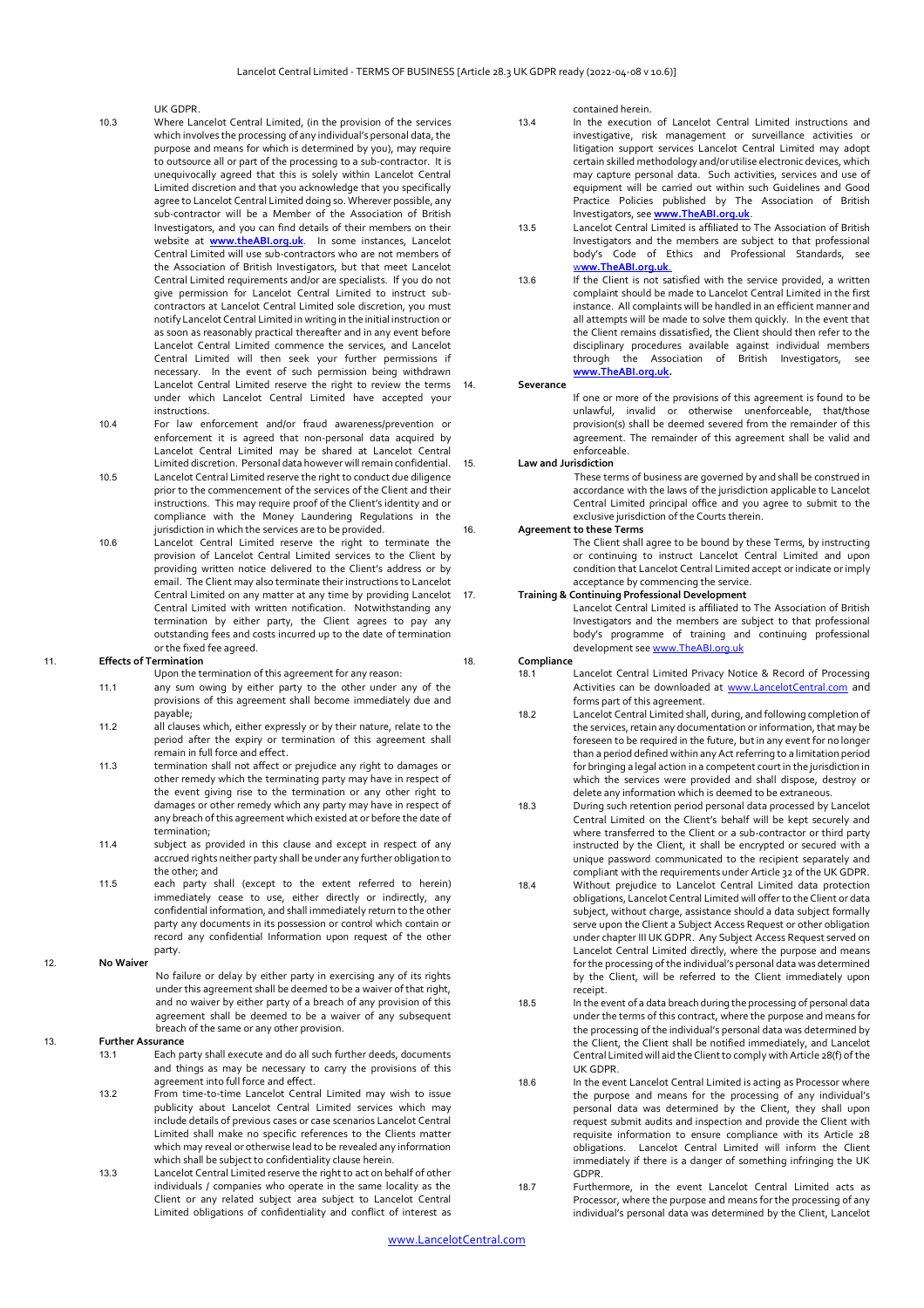#### UK GDPR.

- 10.3 Where Lancelot Central Limited, (in the provision of the services which involves the processing of any individual's personal data, the purpose and means for which is determined by you), may require to outsource all or part of the processing to a sub-contractor. It is unequivocally agreed that this is solely within Lancelot Central Limited discretion and that you acknowledge that you specifically agree to Lancelot Central Limited doing so. Wherever possible, any sub-contractor will be a Member of the Association of British Investigators, and you can find details of their members on their website at **[www.theABI.org.uk](http://www.theabi.org.uk/)**. In some instances, Lancelot Central Limited will use sub-contractors who are not members of the Association of British Investigators, but that meet Lancelot Central Limited requirements and/or are specialists. If you do not give permission for Lancelot Central Limited to instruct subcontractors at Lancelot Central Limited sole discretion, you must notify Lancelot Central Limited in writing in the initial instruction or as soon as reasonably practical thereafter and in any event before Lancelot Central Limited commence the services, and Lancelot Central Limited will then seek your further permissions if necessary. In the event of such permission being withdrawn Lancelot Central Limited reserve the right to review the terms under which Lancelot Central Limited have accepted your instructions.
- 10.4 For law enforcement and/or fraud awareness/prevention or enforcement it is agreed that non-personal data acquired by Lancelot Central Limited may be shared at Lancelot Central Limited discretion. Personal data however will remain confidential.
- 10.5 Lancelot Central Limited reserve the right to conduct due diligence prior to the commencement of the services of the Client and their instructions. This may require proof of the Client's identity and or compliance with the Money Laundering Regulations in the jurisdiction in which the services are to be provided.
- 10.6 Lancelot Central Limited reserve the right to terminate the provision of Lancelot Central Limited services to the Client by providing written notice delivered to the Client's address or by email. The Client may also terminate their instructions to Lancelot Central Limited on any matter at any time by providing Lancelot Central Limited with written notification. Notwithstanding any termination by either party, the Client agrees to pay any outstanding fees and costs incurred up to the date of termination or the fixed fee agreed.

# <span id="page-2-0"></span>11. **Effects of Termination**

- Upon the termination of this agreement for any reason:
- 11.1 any sum owing by either party to the other under any of the provisions of this agreement shall become immediately due and payable;
- 11.2 all clauses which, either expressly or by their nature, relate to the period after the expiry or termination of this agreement shall remain in full force and effect.
- 11.3 termination shall not affect or prejudice any right to damages or other remedy which the terminating party may have in respect of the event giving rise to the termination or any other right to damages or other remedy which any party may have in respect of any breach of this agreement which existed at or before the date of termination;
- 11.4 subject as provided in this clause and except in respect of any accrued rights neither party shall be under any further obligation to the other; and
- 11.5 each party shall (except to the extent referred to herein) immediately cease to use, either directly or indirectly, any confidential information, and shall immediately return to the other party any documents in its possession or control which contain or record any confidential Information upon request of the other party.

<span id="page-2-1"></span>12. **No Waiver**

No failure or delay by either party in exercising any of its rights under this agreement shall be deemed to be a waiver of that right, and no waiver by either party of a breach of any provision of this agreement shall be deemed to be a waiver of any subsequent breach of the same or any other provision.

# <span id="page-2-2"></span>13. **Further Assurance**

- 13.1 Each party shall execute and do all such further deeds, documents and things as may be necessary to carry the provisions of this agreement into full force and effect.
- 13.2 From time-to-time Lancelot Central Limited may wish to issue publicity about Lancelot Central Limited services which may include details of previous cases or case scenarios Lancelot Central Limited shall make no specific references to the Clients matter which may reveal or otherwise lead to be revealed any information which shall be subject to confidentiality clause herein.
- 13.3 Lancelot Central Limited reserve the right to act on behalf of other individuals / companies who operate in the same locality as the Client or any related subject area subject to Lancelot Central Limited obligations of confidentiality and conflict of interest as

contained herein.

- 13.4 In the execution of Lancelot Central Limited instructions and investigative, risk management or surveillance activities or litigation support services Lancelot Central Limited may adopt certain skilled methodology and/or utilise electronic devices, which may capture personal data. Such activities, services and use of equipment will be carried out within such Guidelines and Good Practice Policies published by The Association of British Investigators, see **[www.TheABI.org.uk](http://www.theabi.org.uk/)**.
- 13.5 Lancelot Central Limited is affiliated to The Association of British Investigators and the members are subject to that professional body's Code of Ethics and Professional Standards, see w**[ww.TheABI.org.uk](http://www.theabi.org.uk/)**.
- 13.6 If the Client is not satisfied with the service provided, a written complaint should be made to Lancelot Central Limited in the first instance. All complaints will be handled in an efficient manner and all attempts will be made to solve them quickly. In the event that the Client remains dissatisfied, the Client should then refer to the disciplinary procedures available against individual members through the Association of British Investigators, see **[www.TheABI.org.uk.](http://www.theabi.org.uk/)**

#### <span id="page-2-3"></span>14. **Severance**

If one or more of the provisions of this agreement is found to be unlawful, invalid or otherwise unenforceable, that/those provision(s) shall be deemed severed from the remainder of this agreement. The remainder of this agreement shall be valid and enforceable.

# <span id="page-2-4"></span>15. **Law and Jurisdiction**

These terms of business are governed by and shall be construed in accordance with the laws of the jurisdiction applicable to Lancelot Central Limited principal office and you agree to submit to the exclusive jurisdiction of the Courts therein.

## <span id="page-2-5"></span>16. **Agreement to these Terms**

The Client shall agree to be bound by these Terms, by instructing or continuing to instruct Lancelot Central Limited and upon condition that Lancelot Central Limited accept or indicate or imply acceptance by commencing the service.

# <span id="page-2-6"></span>17. **Training & Continuing Professional Development**

Lancelot Central Limited is affiliated to The Association of British Investigators and the members are subject to that professional body's programme of training and continuing professional development see [www.TheABI.org.uk](http://www.theabi.org.uk/)

## <span id="page-2-7"></span>18. **Compliance**

- 18.1 Lancelot Central Limited Privacy Notice & Record of Processing Activities can be downloaded at [www.LancelotCentral.com](http://www.lancelotcentral.com/) and forms part of this agreement.
- 18.2 Lancelot Central Limited shall, during, and following completion of the services, retain any documentation or information, that may be foreseen to be required in the future, but in any event for no longer than a period defined within any Act referring to a limitation period for bringing a legal action in a competent court in the jurisdiction in which the services were provided and shall dispose, destroy or delete any information which is deemed to be extraneous.
- 18.3 During such retention period personal data processed by Lancelot Central Limited on the Client's behalf will be kept securely and where transferred to the Client or a sub-contractor or third party instructed by the Client, it shall be encrypted or secured with a unique password communicated to the recipient separately and compliant with the requirements under Article 32 of the UK GDPR.
- 18.4 Without prejudice to Lancelot Central Limited data protection obligations, Lancelot Central Limited will offer to the Client or data subject, without charge, assistance should a data subject formally serve upon the Client a Subject Access Request or other obligation under chapter III UK GDPR. Any Subject Access Request served on Lancelot Central Limited directly, where the purpose and means for the processing of the individual's personal data was determined by the Client, will be referred to the Client immediately upon receipt.
- 18.5 In the event of a data breach during the processing of personal data under the terms of this contract, where the purpose and means for the processing of the individual's personal data was determined by the Client, the Client shall be notified immediately, and Lancelot Central Limited will aid the Client to comply with Article 28(f) of the UK GDPR.
- 18.6 In the event Lancelot Central Limited is acting as Processor where the purpose and means for the processing of any individual's personal data was determined by the Client, they shall upon request submit audits and inspection and provide the Client with requisite information to ensure compliance with its Article 28 obligations. Lancelot Central Limited will inform the Client immediately if there is a danger of something infringing the UK GDPR.
- 18.7 Furthermore, in the event Lancelot Central Limited acts as Processor, where the purpose and means for the processing of any individual's personal data was determined by the Client, Lancelot